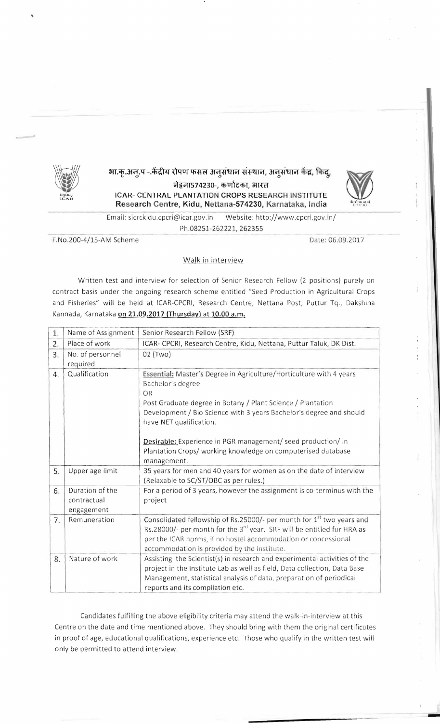

भा.कृ.अन्.प - केंद्रीय रोपण फसल अनुसंधान संस्थान, अनुसंधान केंद्र, किंद्,

नेट्टना574230-, कर्णाटका, भारत ICAR- CENTRAL PLANTATION CROPS RESEARCH INSTITUTE Research Centre, Kidu, Nettana-574230, Karnataka, India



Email: sicrckidu.cpcri@icar.gov.in Website: http://www.cpcri.gov.in/ Ph.08251-262221, 262355

F.No.200-4/15-AM Scheme

Date: 06.09.2017

## Walk in interview

Written test and interview for selection of Senior Research Fellow (2 positions) purely on contract basis under the ongoing research scheme entitled "Seed Production in Agricultural Crops and Fisheries" will be held at ICAR-CPCRI, Research Centre, Nettana Post, Puttur Tq., Dakshina Kannada, Karnataka on 21.09.2017 (Thursday) at 10.00 a.m.

| 1. | Name of Assignment                           | Senior Research Fellow (SRF)                                                                                                                                                                                                                                                                                                                                                                                   |
|----|----------------------------------------------|----------------------------------------------------------------------------------------------------------------------------------------------------------------------------------------------------------------------------------------------------------------------------------------------------------------------------------------------------------------------------------------------------------------|
| 2. | Place of work                                | ICAR- CPCRI, Research Centre, Kidu, Nettana, Puttur Taluk, DK Dist.                                                                                                                                                                                                                                                                                                                                            |
| 3. | No. of personnel<br>required                 | 02 (Two)                                                                                                                                                                                                                                                                                                                                                                                                       |
| 4. | Qualification                                | Essential: Master's Degree in Agriculture/Horticulture with 4 years<br>Bachelor's degree<br>OR<br>Post Graduate degree in Botany / Plant Science / Plantation<br>Development / Bio Science with 3 years Bachelor's degree and should<br>have NET qualification.<br>Desirable: Experience in PGR management/ seed production/ in<br>Plantation Crops/ working knowledge on computerised database<br>management. |
| 5. | Upper age limit                              | 35 years for men and 40 years for women as on the date of interview<br>(Relaxable to SC/ST/OBC as per rules.)                                                                                                                                                                                                                                                                                                  |
| 6. | Duration of the<br>contractual<br>engagement | For a period of 3 years, however the assignment is co-terminus with the<br>project                                                                                                                                                                                                                                                                                                                             |
| 7. | Remuneration                                 | Consolidated fellowship of Rs.25000/- per month for 1 <sup>st</sup> two years and<br>Rs.28000/- per month for the 3 <sup>rd</sup> year. SRF will be entitled for HRA as<br>per the ICAR norms, if no hostel accommodation or concessional<br>accommodation is provided by the Institute.                                                                                                                       |
| 8. | Nature of work                               | Assisting the Scientist(s) in research and experimental activities of the<br>project in the Institute Lab as well as field, Data collection, Data Base<br>Management, statistical analysis of data, preparation of periodical<br>reports and its compilation etc.                                                                                                                                              |

Candidates fulfilling the above eligibility criteria may attend the walk-in-interview at this Centre on the date and time mentioned above. They should bring with them the original certificates in proof of age, educational qualifications, experience etc. Those who qualify in the written test will only be permitted to attend interview.